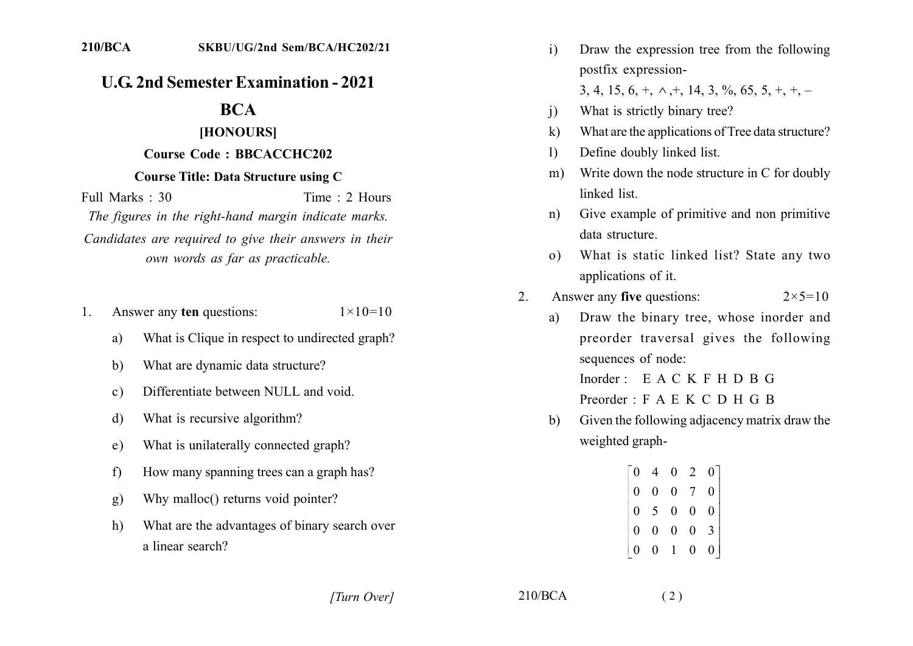## **U.G. 2nd Semester Examination - 2021**

# **BCA**

#### [HONOURS]

### **Course Code: BBCACCHC202**

#### **Course Title: Data Structure using C**

Full Marks : 30 Time  $\cdot$  2 Hours The figures in the right-hand margin indicate marks. Candidates are required to give their answers in their own words as far as practicable.

- Answer any ten questions:  $1 \times 10 = 10$  $\mathbf{1}$ 
	- What is Clique in respect to undirected graph? a)
	- What are dynamic data structure?  $b)$
	- Differentiate between NULL and void.  $c)$
	- What is recursive algorithm?  $\mathbf{d}$
	- What is unilaterally connected graph? e)
	- $f$ How many spanning trees can a graph has?
	- Why malloc() returns void pointer?  $\mathbf{Q}$
	- $h)$ What are the advantages of binary search over a linear search?
- $\mathbf{i}$ Draw the expression tree from the following postfix expression-3, 4, 15, 6,  $+, \wedge, +$ , 14, 3, %, 65, 5,  $+, +$ , -
- What is strictly binary tree?  $\mathbf{i}$
- What are the applications of Tree data structure?  $\bf k$
- Define doubly linked list.  $\mathbf{D}$
- Write down the node structure in C for doubly  $m$ ) linked list
- Give example of primitive and non primitive  $n$ ) data structure.
- What is static linked list? State any two  $\Omega$ ) applications of it.
- Answer any five questions:  $\overline{2}$  $2 \times 5 = 10$ 
	- Draw the binary tree, whose inorder and a) preorder traversal gives the following sequences of node: Inorder  $\cdot$  E A C K F H D B G

Preorder  $\cdot$  F A E K C D H G B

Given the following adjacency matrix draw the b) weighted graph-

| 0              |                                                |                                 | $\overline{2}$ |  |
|----------------|------------------------------------------------|---------------------------------|----------------|--|
| $\overline{0}$ | $\overline{0}$                                 | $\begin{matrix}0\0\end{matrix}$ |                |  |
| $\overline{0}$ | $\begin{bmatrix} 5 & 0 \\ 0 & 0 \end{bmatrix}$ |                                 | $\overline{0}$ |  |
| $\overline{0}$ | $\overline{0}$                                 |                                 | 0              |  |
|                |                                                | $\frac{1}{4}$                   | 0              |  |

[Turn Over]

 $210/BCA$ 

 $(2)$